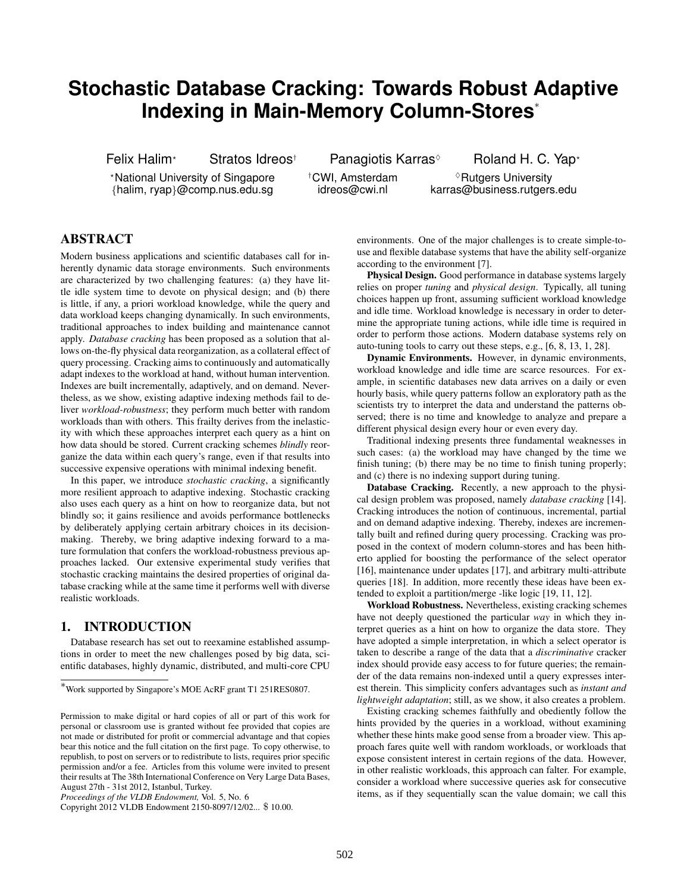# **Stochastic Database Cracking: Towards Robust Adaptive Indexing in Main-Memory Column-Stores**

Felix Halim<sup>\*</sup> Stratos Idreos<sup>†</sup> Panagiotis Karras<sup>o</sup> Roland H. C. Yap<sup>\*</sup>

\*National University of Singapore *{*halim, ryap*}*@comp.nus.edu.sg

*†*CWI, Amsterdam idreos@cwi.nl

**<sup>♦</sup>Rutgers University** karras@business.rutgers.edu

# ABSTRACT

Modern business applications and scientific databases call for inherently dynamic data storage environments. Such environments are characterized by two challenging features: (a) they have little idle system time to devote on physical design; and (b) there is little, if any, a priori workload knowledge, while the query and data workload keeps changing dynamically. In such environments, traditional approaches to index building and maintenance cannot apply. *Database cracking* has been proposed as a solution that allows on-the-fly physical data reorganization, as a collateral effect of query processing. Cracking aims to continuously and automatically adapt indexes to the workload at hand, without human intervention. Indexes are built incrementally, adaptively, and on demand. Nevertheless, as we show, existing adaptive indexing methods fail to deliver *workload-robustness*; they perform much better with random workloads than with others. This frailty derives from the inelasticity with which these approaches interpret each query as a hint on how data should be stored. Current cracking schemes *blindly* reorganize the data within each query's range, even if that results into successive expensive operations with minimal indexing benefit.

In this paper, we introduce *stochastic cracking*, a significantly more resilient approach to adaptive indexing. Stochastic cracking also uses each query as a hint on how to reorganize data, but not blindly so; it gains resilience and avoids performance bottlenecks by deliberately applying certain arbitrary choices in its decisionmaking. Thereby, we bring adaptive indexing forward to a mature formulation that confers the workload-robustness previous approaches lacked. Our extensive experimental study verifies that stochastic cracking maintains the desired properties of original database cracking while at the same time it performs well with diverse realistic workloads.

# 1. INTRODUCTION

Database research has set out to reexamine established assumptions in order to meet the new challenges posed by big data, scientific databases, highly dynamic, distributed, and multi-core CPU

*Proceedings of the VLDB Endowment,* Vol. 5, No. 6

environments. One of the major challenges is to create simple-touse and flexible database systems that have the ability self-organize according to the environment [7].

Physical Design. Good performance in database systems largely relies on proper *tuning* and *physical design*. Typically, all tuning choices happen up front, assuming sufficient workload knowledge and idle time. Workload knowledge is necessary in order to determine the appropriate tuning actions, while idle time is required in order to perform those actions. Modern database systems rely on auto-tuning tools to carry out these steps, e.g., [6, 8, 13, 1, 28].

Dynamic Environments. However, in dynamic environments, workload knowledge and idle time are scarce resources. For example, in scientific databases new data arrives on a daily or even hourly basis, while query patterns follow an exploratory path as the scientists try to interpret the data and understand the patterns observed; there is no time and knowledge to analyze and prepare a different physical design every hour or even every day.

Traditional indexing presents three fundamental weaknesses in such cases: (a) the workload may have changed by the time we finish tuning; (b) there may be no time to finish tuning properly; and (c) there is no indexing support during tuning.

Database Cracking. Recently, a new approach to the physical design problem was proposed, namely *database cracking* [14]. Cracking introduces the notion of continuous, incremental, partial and on demand adaptive indexing. Thereby, indexes are incrementally built and refined during query processing. Cracking was proposed in the context of modern column-stores and has been hitherto applied for boosting the performance of the select operator [16], maintenance under updates [17], and arbitrary multi-attribute queries [18]. In addition, more recently these ideas have been extended to exploit a partition/merge -like logic [19, 11, 12].

Workload Robustness. Nevertheless, existing cracking schemes have not deeply questioned the particular *way* in which they interpret queries as a hint on how to organize the data store. They have adopted a simple interpretation, in which a select operator is taken to describe a range of the data that a *discriminative* cracker index should provide easy access to for future queries; the remainder of the data remains non-indexed until a query expresses interest therein. This simplicity confers advantages such as *instant and lightweight adaptation*; still, as we show, it also creates a problem.

Existing cracking schemes faithfully and obediently follow the hints provided by the queries in a workload, without examining whether these hints make good sense from a broader view. This approach fares quite well with random workloads, or workloads that expose consistent interest in certain regions of the data. However, in other realistic workloads, this approach can falter. For example, consider a workload where successive queries ask for consecutive items, as if they sequentially scan the value domain; we call this

<sup>⇤</sup>Work supported by Singapore's MOE AcRF grant T1 251RES0807.

Permission to make digital or hard copies of all or part of this work for personal or classroom use is granted without fee provided that copies are not made or distributed for profit or commercial advantage and that copies bear this notice and the full citation on the first page. To copy otherwise, to republish, to post on servers or to redistribute to lists, requires prior specific permission and/or a fee. Articles from this volume were invited to present their results at The 38th International Conference on Very Large Data Bases, August 27th - 31st 2012, Istanbul, Turkey.

Copyright 2012 VLDB Endowment 2150-8097/12/02... \$ 10.00.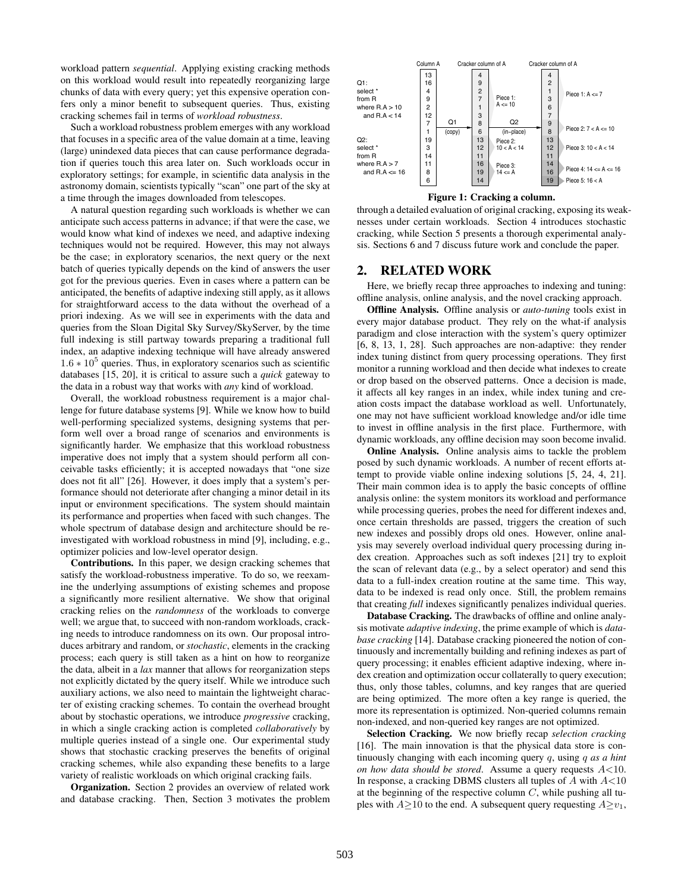workload pattern *sequential*. Applying existing cracking methods on this workload would result into repeatedly reorganizing large chunks of data with every query; yet this expensive operation confers only a minor benefit to subsequent queries. Thus, existing cracking schemes fail in terms of *workload robustness*.

Such a workload robustness problem emerges with any workload that focuses in a specific area of the value domain at a time, leaving (large) unindexed data pieces that can cause performance degradation if queries touch this area later on. Such workloads occur in exploratory settings; for example, in scientific data analysis in the astronomy domain, scientists typically "scan" one part of the sky at a time through the images downloaded from telescopes.

A natural question regarding such workloads is whether we can anticipate such access patterns in advance; if that were the case, we would know what kind of indexes we need, and adaptive indexing techniques would not be required. However, this may not always be the case; in exploratory scenarios, the next query or the next batch of queries typically depends on the kind of answers the user got for the previous queries. Even in cases where a pattern can be anticipated, the benefits of adaptive indexing still apply, as it allows for straightforward access to the data without the overhead of a priori indexing. As we will see in experiments with the data and queries from the Sloan Digital Sky Survey/SkyServer, by the time full indexing is still partway towards preparing a traditional full index, an adaptive indexing technique will have already answered  $1.6 * 10<sup>5</sup>$  queries. Thus, in exploratory scenarios such as scientific databases [15, 20], it is critical to assure such a *quick* gateway to the data in a robust way that works with *any* kind of workload.

Overall, the workload robustness requirement is a major challenge for future database systems [9]. While we know how to build well-performing specialized systems, designing systems that perform well over a broad range of scenarios and environments is significantly harder. We emphasize that this workload robustness imperative does not imply that a system should perform all conceivable tasks efficiently; it is accepted nowadays that "one size does not fit all" [26]. However, it does imply that a system's performance should not deteriorate after changing a minor detail in its input or environment specifications. The system should maintain its performance and properties when faced with such changes. The whole spectrum of database design and architecture should be reinvestigated with workload robustness in mind [9], including, e.g., optimizer policies and low-level operator design.

Contributions. In this paper, we design cracking schemes that satisfy the workload-robustness imperative. To do so, we reexamine the underlying assumptions of existing schemes and propose a significantly more resilient alternative. We show that original cracking relies on the *randomness* of the workloads to converge well; we argue that, to succeed with non-random workloads, cracking needs to introduce randomness on its own. Our proposal introduces arbitrary and random, or *stochastic*, elements in the cracking process; each query is still taken as a hint on how to reorganize the data, albeit in a *lax* manner that allows for reorganization steps not explicitly dictated by the query itself. While we introduce such auxiliary actions, we also need to maintain the lightweight character of existing cracking schemes. To contain the overhead brought about by stochastic operations, we introduce *progressive* cracking, in which a single cracking action is completed *collaboratively* by multiple queries instead of a single one. Our experimental study shows that stochastic cracking preserves the benefits of original cracking schemes, while also expanding these benefits to a large variety of realistic workloads on which original cracking fails.

Organization. Section 2 provides an overview of related work and database cracking. Then, Section 3 motivates the problem



#### Figure 1: Cracking a column.

through a detailed evaluation of original cracking, exposing its weaknesses under certain workloads. Section 4 introduces stochastic cracking, while Section 5 presents a thorough experimental analysis. Sections 6 and 7 discuss future work and conclude the paper.

## 2. RELATED WORK

Here, we briefly recap three approaches to indexing and tuning: offline analysis, online analysis, and the novel cracking approach.

Offline Analysis. Offline analysis or *auto-tuning* tools exist in every major database product. They rely on the what-if analysis paradigm and close interaction with the system's query optimizer [6, 8, 13, 1, 28]. Such approaches are non-adaptive: they render index tuning distinct from query processing operations. They first monitor a running workload and then decide what indexes to create or drop based on the observed patterns. Once a decision is made, it affects all key ranges in an index, while index tuning and creation costs impact the database workload as well. Unfortunately, one may not have sufficient workload knowledge and/or idle time to invest in offline analysis in the first place. Furthermore, with dynamic workloads, any offline decision may soon become invalid.

Online Analysis. Online analysis aims to tackle the problem posed by such dynamic workloads. A number of recent efforts attempt to provide viable online indexing solutions [5, 24, 4, 21]. Their main common idea is to apply the basic concepts of offline analysis online: the system monitors its workload and performance while processing queries, probes the need for different indexes and, once certain thresholds are passed, triggers the creation of such new indexes and possibly drops old ones. However, online analysis may severely overload individual query processing during index creation. Approaches such as soft indexes [21] try to exploit the scan of relevant data (e.g., by a select operator) and send this data to a full-index creation routine at the same time. This way, data to be indexed is read only once. Still, the problem remains that creating *full* indexes significantly penalizes individual queries.

Database Cracking. The drawbacks of offline and online analysis motivate *adaptive indexing*, the prime example of which is *database cracking* [14]. Database cracking pioneered the notion of continuously and incrementally building and refining indexes as part of query processing; it enables efficient adaptive indexing, where index creation and optimization occur collaterally to query execution; thus, only those tables, columns, and key ranges that are queried are being optimized. The more often a key range is queried, the more its representation is optimized. Non-queried columns remain non-indexed, and non-queried key ranges are not optimized.

Selection Cracking. We now briefly recap *selection cracking* [16]. The main innovation is that the physical data store is continuously changing with each incoming query *q*, using *q as a hint on how data should be stored*. Assume a query requests *A<*10. In response, a cracking DBMS clusters all tuples of *A* with *A<*10 at the beginning of the respective column *C*, while pushing all tuples with  $A \ge 10$  to the end. A subsequent query requesting  $A \ge v_1$ ,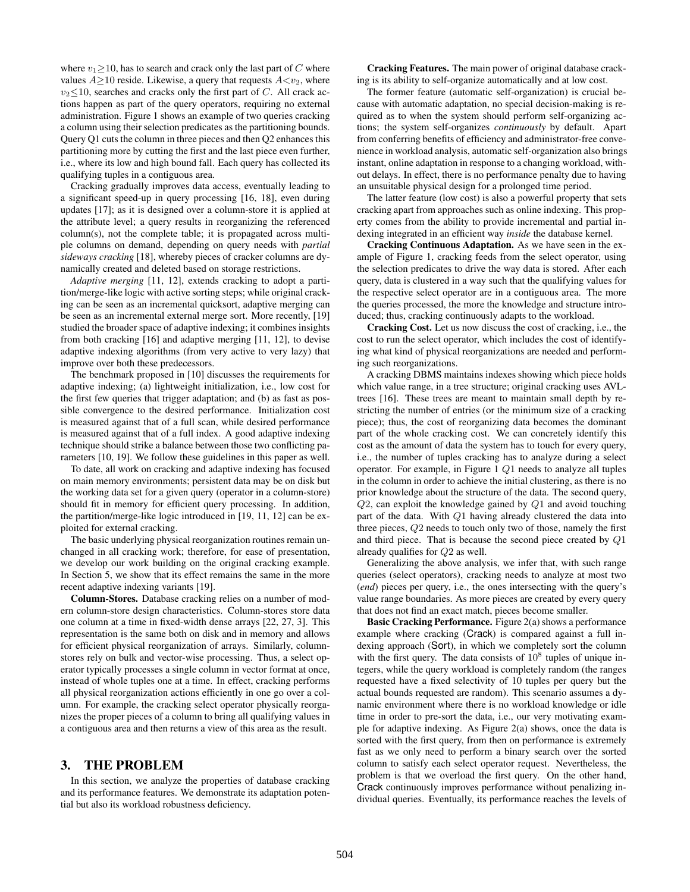where  $v_1 \geq 10$ , has to search and crack only the last part of *C* where values  $A \ge 10$  reside. Likewise, a query that requests  $A \lt v_2$ , where  $v_2$ <10, searches and cracks only the first part of *C*. All crack actions happen as part of the query operators, requiring no external administration. Figure 1 shows an example of two queries cracking a column using their selection predicates as the partitioning bounds. Query Q1 cuts the column in three pieces and then Q2 enhances this partitioning more by cutting the first and the last piece even further, i.e., where its low and high bound fall. Each query has collected its qualifying tuples in a contiguous area.

Cracking gradually improves data access, eventually leading to a significant speed-up in query processing [16, 18], even during updates [17]; as it is designed over a column-store it is applied at the attribute level; a query results in reorganizing the referenced column(s), not the complete table; it is propagated across multiple columns on demand, depending on query needs with *partial sideways cracking* [18], whereby pieces of cracker columns are dynamically created and deleted based on storage restrictions.

*Adaptive merging* [11, 12], extends cracking to adopt a partition/merge-like logic with active sorting steps; while original cracking can be seen as an incremental quicksort, adaptive merging can be seen as an incremental external merge sort. More recently, [19] studied the broader space of adaptive indexing; it combines insights from both cracking [16] and adaptive merging [11, 12], to devise adaptive indexing algorithms (from very active to very lazy) that improve over both these predecessors.

The benchmark proposed in [10] discusses the requirements for adaptive indexing; (a) lightweight initialization, i.e., low cost for the first few queries that trigger adaptation; and (b) as fast as possible convergence to the desired performance. Initialization cost is measured against that of a full scan, while desired performance is measured against that of a full index. A good adaptive indexing technique should strike a balance between those two conflicting parameters [10, 19]. We follow these guidelines in this paper as well.

To date, all work on cracking and adaptive indexing has focused on main memory environments; persistent data may be on disk but the working data set for a given query (operator in a column-store) should fit in memory for efficient query processing. In addition, the partition/merge-like logic introduced in [19, 11, 12] can be exploited for external cracking.

The basic underlying physical reorganization routines remain unchanged in all cracking work; therefore, for ease of presentation, we develop our work building on the original cracking example. In Section 5, we show that its effect remains the same in the more recent adaptive indexing variants [19].

Column-Stores. Database cracking relies on a number of modern column-store design characteristics. Column-stores store data one column at a time in fixed-width dense arrays [22, 27, 3]. This representation is the same both on disk and in memory and allows for efficient physical reorganization of arrays. Similarly, columnstores rely on bulk and vector-wise processing. Thus, a select operator typically processes a single column in vector format at once, instead of whole tuples one at a time. In effect, cracking performs all physical reorganization actions efficiently in one go over a column. For example, the cracking select operator physically reorganizes the proper pieces of a column to bring all qualifying values in a contiguous area and then returns a view of this area as the result.

## 3. THE PROBLEM

In this section, we analyze the properties of database cracking and its performance features. We demonstrate its adaptation potential but also its workload robustness deficiency.

Cracking Features. The main power of original database cracking is its ability to self-organize automatically and at low cost.

The former feature (automatic self-organization) is crucial because with automatic adaptation, no special decision-making is required as to when the system should perform self-organizing actions; the system self-organizes *continuously* by default. Apart from conferring benefits of efficiency and administrator-free convenience in workload analysis, automatic self-organization also brings instant, online adaptation in response to a changing workload, without delays. In effect, there is no performance penalty due to having an unsuitable physical design for a prolonged time period.

The latter feature (low cost) is also a powerful property that sets cracking apart from approaches such as online indexing. This property comes from the ability to provide incremental and partial indexing integrated in an efficient way *inside* the database kernel.

Cracking Continuous Adaptation. As we have seen in the example of Figure 1, cracking feeds from the select operator, using the selection predicates to drive the way data is stored. After each query, data is clustered in a way such that the qualifying values for the respective select operator are in a contiguous area. The more the queries processed, the more the knowledge and structure introduced; thus, cracking continuously adapts to the workload.

Cracking Cost. Let us now discuss the cost of cracking, i.e., the cost to run the select operator, which includes the cost of identifying what kind of physical reorganizations are needed and performing such reorganizations.

A cracking DBMS maintains indexes showing which piece holds which value range, in a tree structure; original cracking uses AVLtrees [16]. These trees are meant to maintain small depth by restricting the number of entries (or the minimum size of a cracking piece); thus, the cost of reorganizing data becomes the dominant part of the whole cracking cost. We can concretely identify this cost as the amount of data the system has to touch for every query, i.e., the number of tuples cracking has to analyze during a select operator. For example, in Figure 1 *Q*1 needs to analyze all tuples in the column in order to achieve the initial clustering, as there is no prior knowledge about the structure of the data. The second query, *Q*2, can exploit the knowledge gained by *Q*1 and avoid touching part of the data. With *Q*1 having already clustered the data into three pieces, *Q*2 needs to touch only two of those, namely the first and third piece. That is because the second piece created by *Q*1 already qualifies for *Q*2 as well.

Generalizing the above analysis, we infer that, with such range queries (select operators), cracking needs to analyze at most two (*end*) pieces per query, i.e., the ones intersecting with the query's value range boundaries. As more pieces are created by every query that does not find an exact match, pieces become smaller.

Basic Cracking Performance. Figure 2(a) shows a performance example where cracking (Crack) is compared against a full indexing approach (Sort), in which we completely sort the column with the first query. The data consists of  $10^8$  tuples of unique integers, while the query workload is completely random (the ranges requested have a fixed selectivity of 10 tuples per query but the actual bounds requested are random). This scenario assumes a dynamic environment where there is no workload knowledge or idle time in order to pre-sort the data, i.e., our very motivating example for adaptive indexing. As Figure 2(a) shows, once the data is sorted with the first query, from then on performance is extremely fast as we only need to perform a binary search over the sorted column to satisfy each select operator request. Nevertheless, the problem is that we overload the first query. On the other hand, Crack continuously improves performance without penalizing individual queries. Eventually, its performance reaches the levels of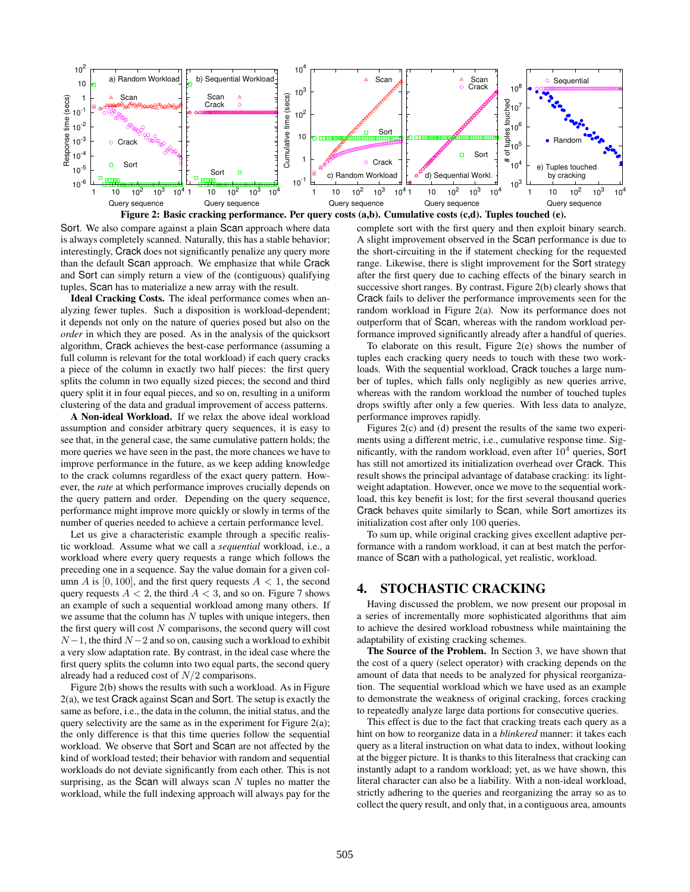

Figure 2: Basic cracking performance. Per query costs (a,b). Cumulative costs (c,d). Tuples touched (e).

Sort. We also compare against a plain Scan approach where data is always completely scanned. Naturally, this has a stable behavior; interestingly, Crack does not significantly penalize any query more than the default Scan approach. We emphasize that while Crack and Sort can simply return a view of the (contiguous) qualifying tuples, Scan has to materialize a new array with the result.

Ideal Cracking Costs. The ideal performance comes when analyzing fewer tuples. Such a disposition is workload-dependent; it depends not only on the nature of queries posed but also on the *order* in which they are posed. As in the analysis of the quicksort algorithm, Crack achieves the best-case performance (assuming a full column is relevant for the total workload) if each query cracks a piece of the column in exactly two half pieces: the first query splits the column in two equally sized pieces; the second and third query split it in four equal pieces, and so on, resulting in a uniform clustering of the data and gradual improvement of access patterns.

A Non-ideal Workload. If we relax the above ideal workload assumption and consider arbitrary query sequences, it is easy to see that, in the general case, the same cumulative pattern holds; the more queries we have seen in the past, the more chances we have to improve performance in the future, as we keep adding knowledge to the crack columns regardless of the exact query pattern. However, the *rate* at which performance improves crucially depends on the query pattern and order. Depending on the query sequence, performance might improve more quickly or slowly in terms of the number of queries needed to achieve a certain performance level.

Let us give a characteristic example through a specific realistic workload. Assume what we call a *sequential* workload, i.e., a workload where every query requests a range which follows the preceding one in a sequence. Say the value domain for a given column *A* is [0, 100], and the first query requests  $A < 1$ , the second query requests  $A < 2$ , the third  $A < 3$ , and so on. Figure 7 shows an example of such a sequential workload among many others. If we assume that the column has *N* tuples with unique integers, then the first query will cost *N* comparisons, the second query will cost  $N-1$ , the third  $N-2$  and so on, causing such a workload to exhibit a very slow adaptation rate. By contrast, in the ideal case where the first query splits the column into two equal parts, the second query already had a reduced cost of *N/*2 comparisons.

Figure 2(b) shows the results with such a workload. As in Figure 2(a), we test Crack against Scan and Sort. The setup is exactly the same as before, i.e., the data in the column, the initial status, and the query selectivity are the same as in the experiment for Figure 2(a); the only difference is that this time queries follow the sequential workload. We observe that Sort and Scan are not affected by the kind of workload tested; their behavior with random and sequential workloads do not deviate significantly from each other. This is not surprising, as the Scan will always scan *N* tuples no matter the workload, while the full indexing approach will always pay for the

complete sort with the first query and then exploit binary search. A slight improvement observed in the Scan performance is due to the short-circuiting in the if statement checking for the requested range. Likewise, there is slight improvement for the Sort strategy after the first query due to caching effects of the binary search in successive short ranges. By contrast, Figure 2(b) clearly shows that Crack fails to deliver the performance improvements seen for the random workload in Figure 2(a). Now its performance does not outperform that of Scan, whereas with the random workload performance improved significantly already after a handful of queries.

To elaborate on this result, Figure 2(e) shows the number of tuples each cracking query needs to touch with these two workloads. With the sequential workload, Crack touches a large number of tuples, which falls only negligibly as new queries arrive, whereas with the random workload the number of touched tuples drops swiftly after only a few queries. With less data to analyze, performance improves rapidly.

Figures 2(c) and (d) present the results of the same two experiments using a different metric, i.e., cumulative response time. Significantly, with the random workload, even after  $10<sup>4</sup>$  queries, Sort has still not amortized its initialization overhead over Crack. This result shows the principal advantage of database cracking: its lightweight adaptation. However, once we move to the sequential workload, this key benefit is lost; for the first several thousand queries Crack behaves quite similarly to Scan, while Sort amortizes its initialization cost after only 100 queries.

To sum up, while original cracking gives excellent adaptive performance with a random workload, it can at best match the performance of Scan with a pathological, yet realistic, workload.

# 4. STOCHASTIC CRACKING

Having discussed the problem, we now present our proposal in a series of incrementally more sophisticated algorithms that aim to achieve the desired workload robustness while maintaining the adaptability of existing cracking schemes.

The Source of the Problem. In Section 3, we have shown that the cost of a query (select operator) with cracking depends on the amount of data that needs to be analyzed for physical reorganization. The sequential workload which we have used as an example to demonstrate the weakness of original cracking, forces cracking to repeatedly analyze large data portions for consecutive queries.

This effect is due to the fact that cracking treats each query as a hint on how to reorganize data in a *blinkered* manner: it takes each query as a literal instruction on what data to index, without looking at the bigger picture. It is thanks to this literalness that cracking can instantly adapt to a random workload; yet, as we have shown, this literal character can also be a liability. With a non-ideal workload, strictly adhering to the queries and reorganizing the array so as to collect the query result, and only that, in a contiguous area, amounts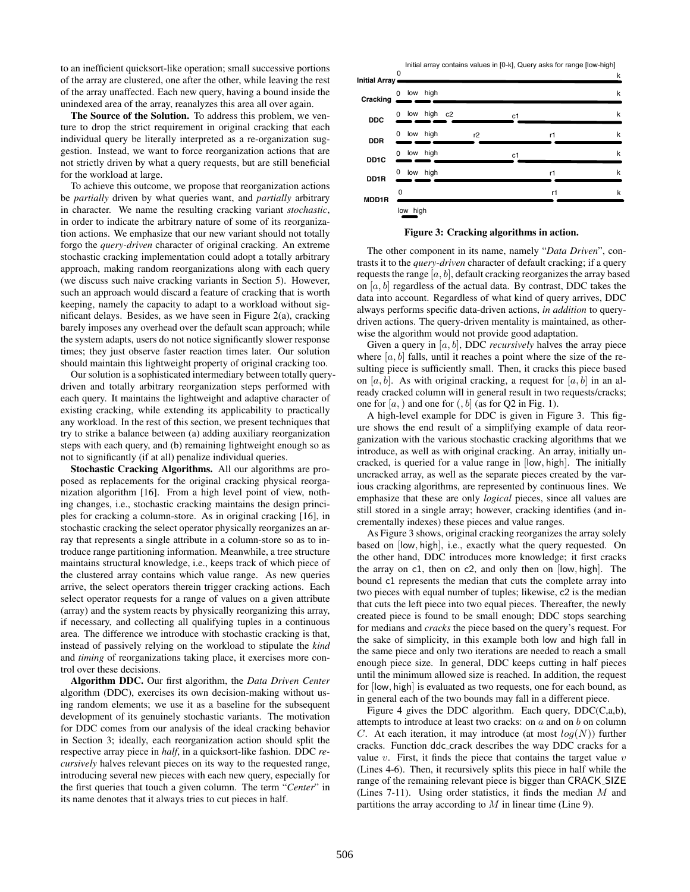to an inefficient quicksort-like operation; small successive portions of the array are clustered, one after the other, while leaving the rest of the array unaffected. Each new query, having a bound inside the unindexed area of the array, reanalyzes this area all over again.

The Source of the Solution. To address this problem, we venture to drop the strict requirement in original cracking that each individual query be literally interpreted as a re-organization suggestion. Instead, we want to force reorganization actions that are not strictly driven by what a query requests, but are still beneficial for the workload at large.

To achieve this outcome, we propose that reorganization actions be *partially* driven by what queries want, and *partially* arbitrary in character. We name the resulting cracking variant *stochastic*, in order to indicate the arbitrary nature of some of its reorganization actions. We emphasize that our new variant should not totally forgo the *query-driven* character of original cracking. An extreme stochastic cracking implementation could adopt a totally arbitrary approach, making random reorganizations along with each query (we discuss such naive cracking variants in Section 5). However, such an approach would discard a feature of cracking that is worth keeping, namely the capacity to adapt to a workload without significant delays. Besides, as we have seen in Figure 2(a), cracking barely imposes any overhead over the default scan approach; while the system adapts, users do not notice significantly slower response times; they just observe faster reaction times later. Our solution should maintain this lightweight property of original cracking too.

Our solution is a sophisticated intermediary between totally querydriven and totally arbitrary reorganization steps performed with each query. It maintains the lightweight and adaptive character of existing cracking, while extending its applicability to practically any workload. In the rest of this section, we present techniques that try to strike a balance between (a) adding auxiliary reorganization steps with each query, and (b) remaining lightweight enough so as not to significantly (if at all) penalize individual queries.

Stochastic Cracking Algorithms. All our algorithms are proposed as replacements for the original cracking physical reorganization algorithm [16]. From a high level point of view, nothing changes, i.e., stochastic cracking maintains the design principles for cracking a column-store. As in original cracking [16], in stochastic cracking the select operator physically reorganizes an array that represents a single attribute in a column-store so as to introduce range partitioning information. Meanwhile, a tree structure maintains structural knowledge, i.e., keeps track of which piece of the clustered array contains which value range. As new queries arrive, the select operators therein trigger cracking actions. Each select operator requests for a range of values on a given attribute (array) and the system reacts by physically reorganizing this array, if necessary, and collecting all qualifying tuples in a continuous area. The difference we introduce with stochastic cracking is that, instead of passively relying on the workload to stipulate the *kind* and *timing* of reorganizations taking place, it exercises more control over these decisions.

Algorithm DDC. Our first algorithm, the *Data Driven Center* algorithm (DDC), exercises its own decision-making without using random elements; we use it as a baseline for the subsequent development of its genuinely stochastic variants. The motivation for DDC comes from our analysis of the ideal cracking behavior in Section 3; ideally, each reorganization action should split the respective array piece in *half*, in a quicksort-like fashion. DDC *recursively* halves relevant pieces on its way to the requested range, introducing several new pieces with each new query, especially for the first queries that touch a given column. The term "*Center*" in its name denotes that it always tries to cut pieces in half.





The other component in its name, namely "*Data Driven*", contrasts it to the *query-driven* character of default cracking; if a query requests the range [*a, b*], default cracking reorganizes the array based on [*a, b*] regardless of the actual data. By contrast, DDC takes the data into account. Regardless of what kind of query arrives, DDC always performs specific data-driven actions, *in addition* to querydriven actions. The query-driven mentality is maintained, as otherwise the algorithm would not provide good adaptation.

Given a query in [*a, b*], DDC *recursively* halves the array piece where  $[a, b]$  falls, until it reaches a point where the size of the resulting piece is sufficiently small. Then, it cracks this piece based on  $[a, b]$ . As with original cracking, a request for  $[a, b]$  in an already cracked column will in general result in two requests/cracks; one for  $[a, )$  and one for  $($ ,  $b$   $]$  (as for Q2 in Fig. 1).

A high-level example for DDC is given in Figure 3. This figure shows the end result of a simplifying example of data reorganization with the various stochastic cracking algorithms that we introduce, as well as with original cracking. An array, initially uncracked, is queried for a value range in [low*,* high]. The initially uncracked array, as well as the separate pieces created by the various cracking algorithms, are represented by continuous lines. We emphasize that these are only *logical* pieces, since all values are still stored in a single array; however, cracking identifies (and incrementally indexes) these pieces and value ranges.

As Figure 3 shows, original cracking reorganizes the array solely based on [low*,* high], i.e., exactly what the query requested. On the other hand, DDC introduces more knowledge; it first cracks the array on c1, then on c2, and only then on [low*,* high]. The bound c1 represents the median that cuts the complete array into two pieces with equal number of tuples; likewise, c2 is the median that cuts the left piece into two equal pieces. Thereafter, the newly created piece is found to be small enough; DDC stops searching for medians and *cracks* the piece based on the query's request. For the sake of simplicity, in this example both low and high fall in the same piece and only two iterations are needed to reach a small enough piece size. In general, DDC keeps cutting in half pieces until the minimum allowed size is reached. In addition, the request for  $[low, high]$  is evaluated as two requests, one for each bound, as in general each of the two bounds may fall in a different piece.

Figure 4 gives the DDC algorithm. Each query, DDC(C,a,b), attempts to introduce at least two cracks: on *a* and on *b* on column *C*. At each iteration, it may introduce (at most  $log(N)$ ) further cracks. Function ddc crack describes the way DDC cracks for a value *v*. First, it finds the piece that contains the target value *v* (Lines 4-6). Then, it recursively splits this piece in half while the range of the remaining relevant piece is bigger than CRACK SIZE (Lines 7-11). Using order statistics, it finds the median *M* and partitions the array according to *M* in linear time (Line 9).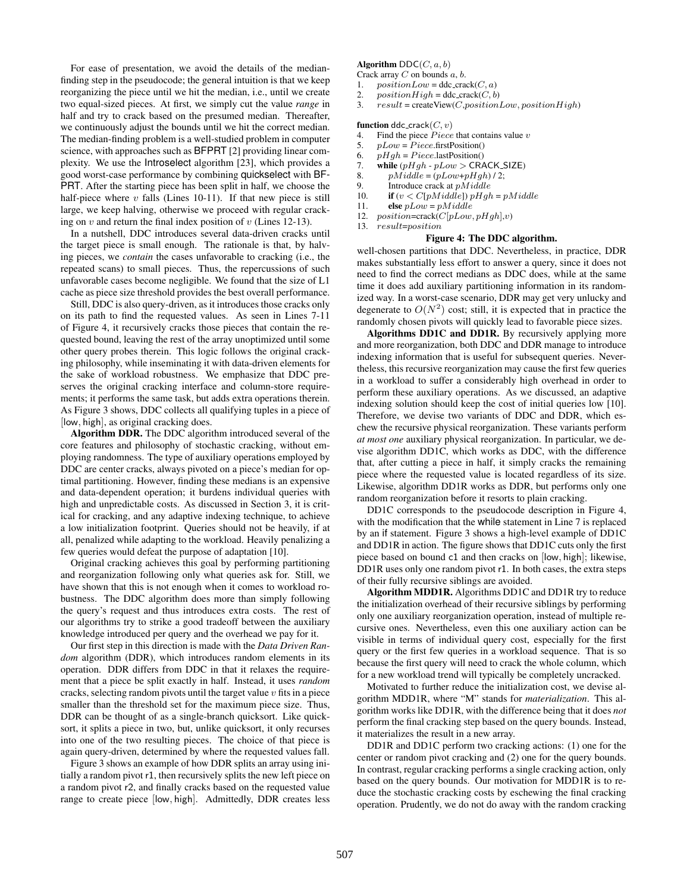For ease of presentation, we avoid the details of the medianfinding step in the pseudocode; the general intuition is that we keep reorganizing the piece until we hit the median, i.e., until we create two equal-sized pieces. At first, we simply cut the value *range* in half and try to crack based on the presumed median. Thereafter, we continuously adjust the bounds until we hit the correct median. The median-finding problem is a well-studied problem in computer science, with approaches such as BFPRT [2] providing linear complexity. We use the Introselect algorithm [23], which provides a good worst-case performance by combining quickselect with BF-PRT. After the starting piece has been split in half, we choose the half-piece where  $v$  falls (Lines 10-11). If that new piece is still large, we keep halving, otherwise we proceed with regular cracking on *v* and return the final index position of *v* (Lines 12-13).

In a nutshell, DDC introduces several data-driven cracks until the target piece is small enough. The rationale is that, by halving pieces, we *contain* the cases unfavorable to cracking (i.e., the repeated scans) to small pieces. Thus, the repercussions of such unfavorable cases become negligible. We found that the size of L1 cache as piece size threshold provides the best overall performance.

Still, DDC is also query-driven, as it introduces those cracks only on its path to find the requested values. As seen in Lines 7-11 of Figure 4, it recursively cracks those pieces that contain the requested bound, leaving the rest of the array unoptimized until some other query probes therein. This logic follows the original cracking philosophy, while inseminating it with data-driven elements for the sake of workload robustness. We emphasize that DDC preserves the original cracking interface and column-store requirements; it performs the same task, but adds extra operations therein. As Figure 3 shows, DDC collects all qualifying tuples in a piece of [low, high], as original cracking does.

Algorithm DDR. The DDC algorithm introduced several of the core features and philosophy of stochastic cracking, without employing randomness. The type of auxiliary operations employed by DDC are center cracks, always pivoted on a piece's median for optimal partitioning. However, finding these medians is an expensive and data-dependent operation; it burdens individual queries with high and unpredictable costs. As discussed in Section 3, it is critical for cracking, and any adaptive indexing technique, to achieve a low initialization footprint. Queries should not be heavily, if at all, penalized while adapting to the workload. Heavily penalizing a few queries would defeat the purpose of adaptation [10].

Original cracking achieves this goal by performing partitioning and reorganization following only what queries ask for. Still, we have shown that this is not enough when it comes to workload robustness. The DDC algorithm does more than simply following the query's request and thus introduces extra costs. The rest of our algorithms try to strike a good tradeoff between the auxiliary knowledge introduced per query and the overhead we pay for it.

Our first step in this direction is made with the *Data Driven Random* algorithm (DDR), which introduces random elements in its operation. DDR differs from DDC in that it relaxes the requirement that a piece be split exactly in half. Instead, it uses *random* cracks, selecting random pivots until the target value *v* fits in a piece smaller than the threshold set for the maximum piece size. Thus, DDR can be thought of as a single-branch quicksort. Like quicksort, it splits a piece in two, but, unlike quicksort, it only recurses into one of the two resulting pieces. The choice of that piece is again query-driven, determined by where the requested values fall.

Figure 3 shows an example of how DDR splits an array using initially a random pivot r1, then recursively splits the new left piece on a random pivot r2, and finally cracks based on the requested value range to create piece [low*,* high]. Admittedly, DDR creates less

#### Algorithm DDC(*C, a, b*)

- Crack array *C* on bounds *a*, *b*.
- 1.  $positionLow = ddc\_crack(C, a)$
- 2.  $positionHigh = ddc\_crack(C, b)$
- 3. *result* = createView(*C*,*positionLow, positionHigh*)

#### **function** ddc\_crack $(C, v)$

- 4. Find the piece *P iece* that contains value *v*
- 5. *pLow* = *P iece*.firstPosition()
- 6. *pHgh* = *P iece*.lastPosition()
- 7. while  $(pHgh pLow > \text{CRACK\_SIZE})$
- 8.  $p\mathit{Middle} = (p\mathit{Low} + p\mathit{Hgh}) / 2;$
- 9. Introduce crack at  $p Middle$ <br>10. **if**  $(v < C[nMiddel]) pHalf$
- $\textbf{if} (v < C[p Middle]) pHgh = p Middle$
- 11. **else**  $pLow = p Middle$
- 12.  $position = \text{crack}(C[pLow, pHgh], v)$ <br>13.  $result = position$ 
	- 13. *result*=*position*

#### Figure 4: The DDC algorithm.

well-chosen partitions that DDC. Nevertheless, in practice, DDR makes substantially less effort to answer a query, since it does not need to find the correct medians as DDC does, while at the same time it does add auxiliary partitioning information in its randomized way. In a worst-case scenario, DDR may get very unlucky and degenerate to  $O(N^2)$  cost; still, it is expected that in practice the randomly chosen pivots will quickly lead to favorable piece sizes.

Algorithms DD1C and DD1R. By recursively applying more and more reorganization, both DDC and DDR manage to introduce indexing information that is useful for subsequent queries. Nevertheless, this recursive reorganization may cause the first few queries in a workload to suffer a considerably high overhead in order to perform these auxiliary operations. As we discussed, an adaptive indexing solution should keep the cost of initial queries low [10]. Therefore, we devise two variants of DDC and DDR, which eschew the recursive physical reorganization. These variants perform *at most one* auxiliary physical reorganization. In particular, we devise algorithm DD1C, which works as DDC, with the difference that, after cutting a piece in half, it simply cracks the remaining piece where the requested value is located regardless of its size. Likewise, algorithm DD1R works as DDR, but performs only one random reorganization before it resorts to plain cracking.

DD1C corresponds to the pseudocode description in Figure 4, with the modification that the while statement in Line 7 is replaced by an if statement. Figure 3 shows a high-level example of DD1C and DD1R in action. The figure shows that DD1C cuts only the first piece based on bound c1 and then cracks on [low*,* high]; likewise, DD1R uses only one random pivot r1. In both cases, the extra steps of their fully recursive siblings are avoided.

Algorithm MDD1R. Algorithms DD1C and DD1R try to reduce the initialization overhead of their recursive siblings by performing only one auxiliary reorganization operation, instead of multiple recursive ones. Nevertheless, even this one auxiliary action can be visible in terms of individual query cost, especially for the first query or the first few queries in a workload sequence. That is so because the first query will need to crack the whole column, which for a new workload trend will typically be completely uncracked.

Motivated to further reduce the initialization cost, we devise algorithm MDD1R, where "M" stands for *materialization*. This algorithm works like DD1R, with the difference being that it does *not* perform the final cracking step based on the query bounds. Instead, it materializes the result in a new array.

DD1R and DD1C perform two cracking actions: (1) one for the center or random pivot cracking and (2) one for the query bounds. In contrast, regular cracking performs a single cracking action, only based on the query bounds. Our motivation for MDD1R is to reduce the stochastic cracking costs by eschewing the final cracking operation. Prudently, we do not do away with the random cracking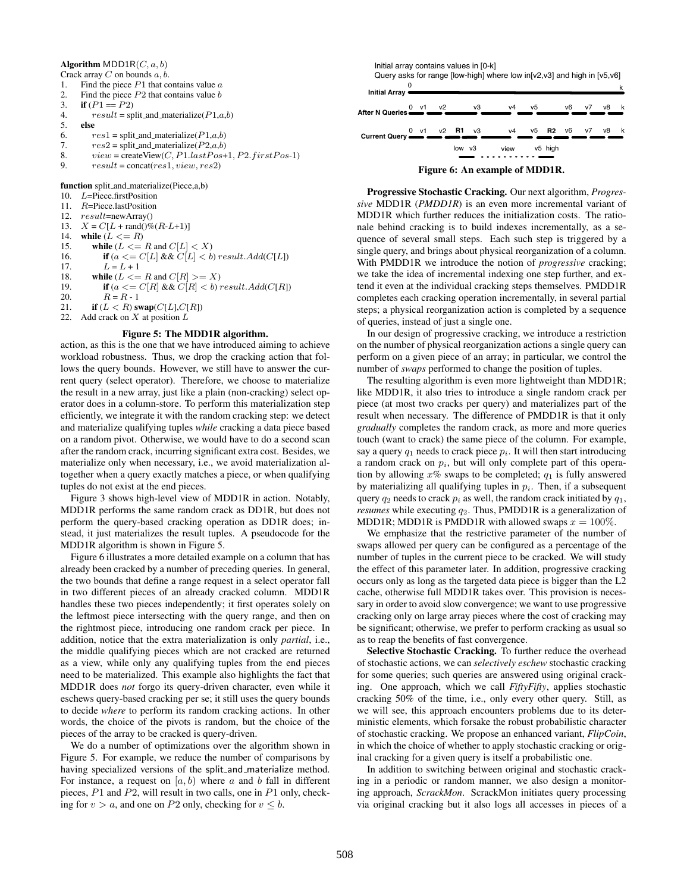Algorithm MDD1R(*C, a, b*)

Crack array *C* on bounds *a, b*.

- 1. Find the piece *P*1 that contains value *a*
- 2. Find the piece *P*2 that contains value *b*
- 3. if  $(P1 == P2)$
- 4.  $result = split\_and\_materialize(P1, a, b)$ <br>5. **else**
- else
- 6.  $res1 = \text{split\_and\_materialize}(P1, a, b)$
- 7.  $res2 = \text{split\_and\_materialize}(P2, a, b)$
- 8.  $view = \text{createView}(C, P1.lastPos+1, P2.firstPos-1)$
- 9. *result* = concat(*res*1*, view, res*2)

function split and materialize(Piece,a,b)

10. *L*=Piece.firstPosition 11. *R*=Piece.lastPosition 12.  $result = newArray()$ <br>13.  $X = CIL + rand()%$  $X = C[L + \text{rand}(1\% (R-L+1)]$ 14. while  $(L \le R)$ <br>15. while  $(L \le R)$ while  $(L \leq R$  and  $C[L] \leq X$ ) 16. **if**  $(a \le C[L] \&c\in C[L] \le b)$  *result.Add*(*C*[*L*]) <br>17.  $L = L + 1$ 17.  $L = L + 1$ <br>18 while  $(L < 1$ while ( $L \leq R$  and  $C[R] \geq X$ ) 19. **if**  $(a \leq C[R] \& C[R] \leq b) \text{ result}. Add(C[R])$ 20.  $R = R - 1$ <br>21. **if**  $(L < R)$  sy if  $(L < R)$  swap $(C[L], C[R])$ 22. Add crack on *X* at position *L*

#### Figure 5: The MDD1R algorithm.

action, as this is the one that we have introduced aiming to achieve workload robustness. Thus, we drop the cracking action that follows the query bounds. However, we still have to answer the current query (select operator). Therefore, we choose to materialize the result in a new array, just like a plain (non-cracking) select operator does in a column-store. To perform this materialization step efficiently, we integrate it with the random cracking step: we detect and materialize qualifying tuples *while* cracking a data piece based on a random pivot. Otherwise, we would have to do a second scan after the random crack, incurring significant extra cost. Besides, we materialize only when necessary, i.e., we avoid materialization altogether when a query exactly matches a piece, or when qualifying tuples do not exist at the end pieces.

Figure 3 shows high-level view of MDD1R in action. Notably, MDD1R performs the same random crack as DD1R, but does not perform the query-based cracking operation as DD1R does; instead, it just materializes the result tuples. A pseudocode for the MDD1R algorithm is shown in Figure 5.

Figure 6 illustrates a more detailed example on a column that has already been cracked by a number of preceding queries. In general, the two bounds that define a range request in a select operator fall in two different pieces of an already cracked column. MDD1R handles these two pieces independently; it first operates solely on the leftmost piece intersecting with the query range, and then on the rightmost piece, introducing one random crack per piece. In addition, notice that the extra materialization is only *partial*, i.e., the middle qualifying pieces which are not cracked are returned as a view, while only any qualifying tuples from the end pieces need to be materialized. This example also highlights the fact that MDD1R does *not* forgo its query-driven character, even while it eschews query-based cracking per se; it still uses the query bounds to decide *where* to perform its random cracking actions. In other words, the choice of the pivots is random, but the choice of the pieces of the array to be cracked is query-driven.

We do a number of optimizations over the algorithm shown in Figure 5. For example, we reduce the number of comparisons by having specialized versions of the split\_and\_materialize method. For instance, a request on  $[a, b)$  where  $a$  and  $b$  fall in different pieces, *P*1 and *P*2, will result in two calls, one in *P*1 only, checking for  $v > a$ , and one on *P*2 only, checking for  $v \leq b$ .



Figure 6: An example of MDD1R.

Progressive Stochastic Cracking. Our next algorithm, *Progressive* MDD1R (*PMDD1R*) is an even more incremental variant of MDD1R which further reduces the initialization costs. The rationale behind cracking is to build indexes incrementally, as a sequence of several small steps. Each such step is triggered by a single query, and brings about physical reorganization of a column. With PMDD1R we introduce the notion of *progressive* cracking; we take the idea of incremental indexing one step further, and extend it even at the individual cracking steps themselves. PMDD1R completes each cracking operation incrementally, in several partial steps; a physical reorganization action is completed by a sequence of queries, instead of just a single one.

In our design of progressive cracking, we introduce a restriction on the number of physical reorganization actions a single query can perform on a given piece of an array; in particular, we control the number of *swaps* performed to change the position of tuples.

The resulting algorithm is even more lightweight than MDD1R; like MDD1R, it also tries to introduce a single random crack per piece (at most two cracks per query) and materializes part of the result when necessary. The difference of PMDD1R is that it only *gradually* completes the random crack, as more and more queries touch (want to crack) the same piece of the column. For example, say a query  $q_1$  needs to crack piece  $p_i$ . It will then start introducing a random crack on *pi*, but will only complete part of this operation by allowing *x*% swaps to be completed; *q*<sup>1</sup> is fully answered by materializing all qualifying tuples in *pi*. Then, if a subsequent query  $q_2$  needs to crack  $p_i$  as well, the random crack initiated by  $q_1$ , *resumes* while executing *q*2. Thus, PMDD1R is a generalization of MDD1R; MDD1R is PMDD1R with allowed swaps  $x = 100\%$ .

We emphasize that the restrictive parameter of the number of swaps allowed per query can be configured as a percentage of the number of tuples in the current piece to be cracked. We will study the effect of this parameter later. In addition, progressive cracking occurs only as long as the targeted data piece is bigger than the L2 cache, otherwise full MDD1R takes over. This provision is necessary in order to avoid slow convergence; we want to use progressive cracking only on large array pieces where the cost of cracking may be significant; otherwise, we prefer to perform cracking as usual so as to reap the benefits of fast convergence.

Selective Stochastic Cracking. To further reduce the overhead of stochastic actions, we can *selectively eschew* stochastic cracking for some queries; such queries are answered using original cracking. One approach, which we call *FiftyFifty*, applies stochastic cracking 50% of the time, i.e., only every other query. Still, as we will see, this approach encounters problems due to its deterministic elements, which forsake the robust probabilistic character of stochastic cracking. We propose an enhanced variant, *FlipCoin*, in which the choice of whether to apply stochastic cracking or original cracking for a given query is itself a probabilistic one.

In addition to switching between original and stochastic cracking in a periodic or random manner, we also design a monitoring approach, *ScrackMon*. ScrackMon initiates query processing via original cracking but it also logs all accesses in pieces of a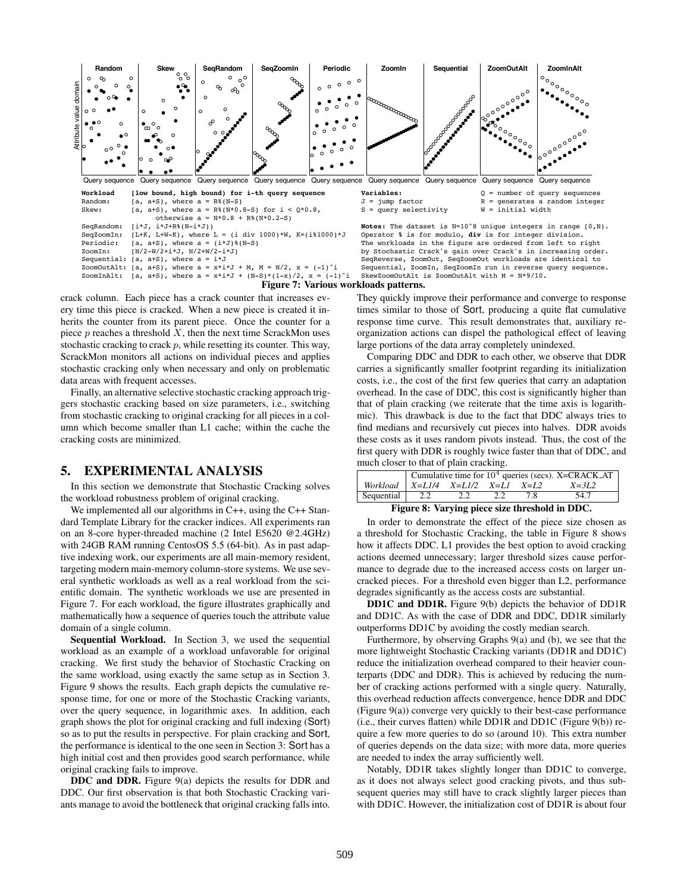

crack column. Each piece has a crack counter that increases every time this piece is cracked. When a new piece is created it inherits the counter from its parent piece. Once the counter for a piece *p* reaches a threshold *X*, then the next time ScrackMon uses stochastic cracking to crack *p*, while resetting its counter. This way, ScrackMon monitors all actions on individual pieces and applies stochastic cracking only when necessary and only on problematic data areas with frequent accesses.

Finally, an alternative selective stochastic cracking approach triggers stochastic cracking based on size parameters, i.e., switching from stochastic cracking to original cracking for all pieces in a column which become smaller than L1 cache; within the cache the cracking costs are minimized.

# 5. **EXPERIMENTAL ANALYSIS**  $\sqrt{\frac{1}{\text{Cumulative time for } 10^4 \text{ queries (secs). } X = \text{CRACT}}}$

In this section we demonstrate that Stochastic Cracking solves the workload robustness problem of original cracking.

We implemented all our algorithms in C++, using the C++ Standard Template Library for the cracker indices. All experiments ran on an 8-core hyper-threaded machine (2 Intel E5620 @2.4GHz) with 24GB RAM running CentosOS 5.5 (64-bit). As in past adaptive indexing work, our experiments are all main-memory resident, targeting modern main-memory column-store systems. We use several synthetic workloads as well as a real workload from the scientific domain. The synthetic workloads we use are presented in Figure 7. For each workload, the figure illustrates graphically and mathematically how a sequence of queries touch the attribute value domain of a single column.

Sequential Workload. In Section 3, we used the sequential workload as an example of a workload unfavorable for original cracking. We first study the behavior of Stochastic Cracking on the same workload, using exactly the same setup as in Section 3. Figure 9 shows the results. Each graph depicts the cumulative response time, for one or more of the Stochastic Cracking variants, over the query sequence, in logarithmic axes. In addition, each graph shows the plot for original cracking and full indexing (Sort) so as to put the results in perspective. For plain cracking and Sort, the performance is identical to the one seen in Section 3: Sort has a high initial cost and then provides good search performance, while original cracking fails to improve.

DDC and DDR. Figure 9(a) depicts the results for DDR and DDC. Our first observation is that both Stochastic Cracking variants manage to avoid the bottleneck that original cracking falls into.

They quickly improve their performance and converge to response times similar to those of Sort, producing a quite flat cumulative response time curve. This result demonstrates that, auxiliary reorganization actions can dispel the pathological effect of leaving large portions of the data array completely unindexed.

Comparing DDC and DDR to each other, we observe that DDR carries a significantly smaller footprint regarding its initialization costs, i.e., the cost of the first few queries that carry an adaptation overhead. In the case of DDC, this cost is significantly higher than that of plain cracking (we reiterate that the time axis is logarithmic). This drawback is due to the fact that DDC always tries to find medians and recursively cut pieces into halves. DDR avoids these costs as it uses random pivots instead. Thus, the cost of the first query with DDR is roughly twice faster than that of DDC, and much closer to that of plain cracking.

|                | Cumulative time for $10^4$ queries (secs). X=CRACK_AT |                  |     |     |                                                  |  |  |
|----------------|-------------------------------------------------------|------------------|-----|-----|--------------------------------------------------|--|--|
|                |                                                       |                  |     |     | Workload $X=L1/4$ $X=L1/2$ $X=L1$ $X=L2$ $X=3L2$ |  |  |
| Sequential 2.2 |                                                       | $\overline{2.2}$ | 2.2 | 7.8 | 54.7                                             |  |  |

Figure 8: Varying piece size threshold in DDC.

In order to demonstrate the effect of the piece size chosen as a threshold for Stochastic Cracking, the table in Figure 8 shows how it affects DDC. L1 provides the best option to avoid cracking actions deemed unnecessary; larger threshold sizes cause performance to degrade due to the increased access costs on larger uncracked pieces. For a threshold even bigger than L2, performance degrades significantly as the access costs are substantial.

DD1C and DD1R. Figure 9(b) depicts the behavior of DD1R and DD1C. As with the case of DDR and DDC, DD1R similarly outperforms DD1C by avoiding the costly median search.

Furthermore, by observing Graphs 9(a) and (b), we see that the more lightweight Stochastic Cracking variants (DD1R and DD1C) reduce the initialization overhead compared to their heavier counterparts (DDC and DDR). This is achieved by reducing the number of cracking actions performed with a single query. Naturally, this overhead reduction affects convergence, hence DDR and DDC (Figure 9(a)) converge very quickly to their best-case performance (i.e., their curves flatten) while DD1R and DD1C (Figure 9(b)) require a few more queries to do so (around 10). This extra number of queries depends on the data size; with more data, more queries are needed to index the array sufficiently well.

Notably, DD1R takes slightly longer than DD1C to converge, as it does not always select good cracking pivots, and thus subsequent queries may still have to crack slightly larger pieces than with DD1C. However, the initialization cost of DD1R is about four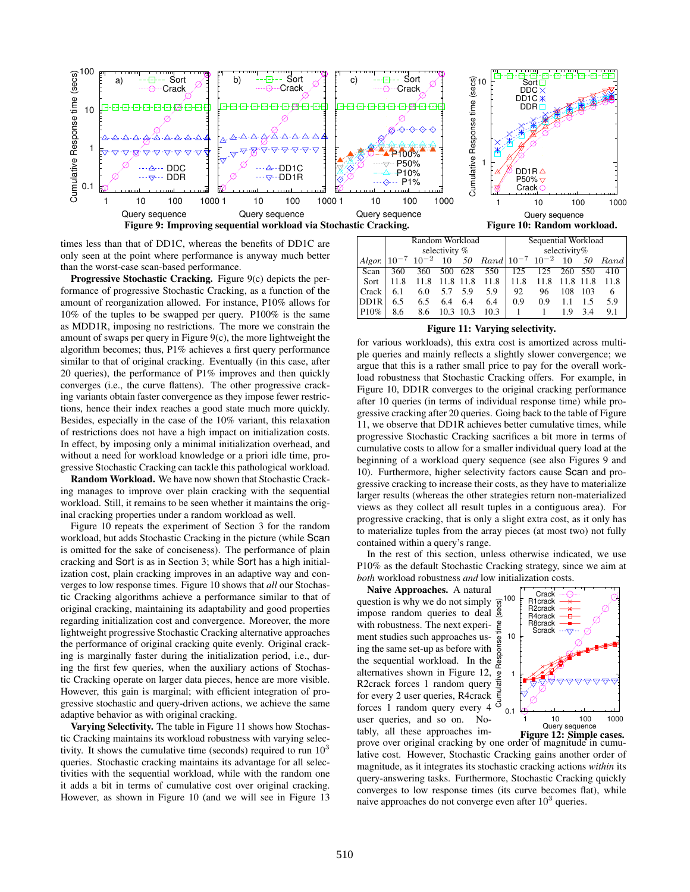

times less than that of DD1C, whereas the benefits of DD1C are only seen at the point where performance is anyway much better than the worst-case scan-based performance.

Progressive Stochastic Cracking. Figure 9(c) depicts the performance of progressive Stochastic Cracking, as a function of the amount of reorganization allowed. For instance, P10% allows for 10% of the tuples to be swapped per query. P100% is the same as MDD1R, imposing no restrictions. The more we constrain the amount of swaps per query in Figure 9(c), the more lightweight the algorithm becomes; thus, P1% achieves a first query performance similar to that of original cracking. Eventually (in this case, after 20 queries), the performance of P1% improves and then quickly converges (i.e., the curve flattens). The other progressive cracking variants obtain faster convergence as they impose fewer restrictions, hence their index reaches a good state much more quickly. Besides, especially in the case of the 10% variant, this relaxation of restrictions does not have a high impact on initialization costs. In effect, by imposing only a minimal initialization overhead, and without a need for workload knowledge or a priori idle time, progressive Stochastic Cracking can tackle this pathological workload.

Random Workload. We have now shown that Stochastic Cracking manages to improve over plain cracking with the sequential workload. Still, it remains to be seen whether it maintains the original cracking properties under a random workload as well.

Figure 10 repeats the experiment of Section 3 for the random workload, but adds Stochastic Cracking in the picture (while Scan is omitted for the sake of conciseness). The performance of plain cracking and Sort is as in Section 3; while Sort has a high initialization cost, plain cracking improves in an adaptive way and converges to low response times. Figure 10 shows that *all* our Stochastic Cracking algorithms achieve a performance similar to that of original cracking, maintaining its adaptability and good properties regarding initialization cost and convergence. Moreover, the more lightweight progressive Stochastic Cracking alternative approaches the performance of original cracking quite evenly. Original cracking is marginally faster during the initialization period, i.e., during the first few queries, when the auxiliary actions of Stochastic Cracking operate on larger data pieces, hence are more visible. However, this gain is marginal; with efficient integration of progressive stochastic and query-driven actions, we achieve the same adaptive behavior as with original cracking.

Varying Selectivity. The table in Figure 11 shows how Stochastic Cracking maintains its workload robustness with varying selectivity. It shows the cumulative time (seconds) required to run  $10<sup>3</sup>$ queries. Stochastic cracking maintains its advantage for all selectivities with the sequential workload, while with the random one it adds a bit in terms of cumulative cost over original cracking. However, as shown in Figure 10 (and we will see in Figure 13

|         | Random Workload |                        |     |           | Sequential Workload        |      |      |      |      |      |
|---------|-----------------|------------------------|-----|-----------|----------------------------|------|------|------|------|------|
|         | selectivity %   |                        |     |           | selectivity%               |      |      |      |      |      |
| Algor.  |                 | $10^{-7}$ $10^{-2}$ 10 |     |           | 50 Rand $ 10^{-7} 10^{-2}$ |      |      | 10   | 50   | Rand |
| Scan    | 360             | 360                    | 500 | 628       | 550                        | 125  | 125  | 260  | 550  | 410  |
| Sort    | 11.8            | 11.8                   |     | 11.8 11.8 | 11.8                       | 11.8 | 11.8 | 11.8 | 11.8 | 11.8 |
| Crack   | 6.1             | 6.0                    | 5.7 | 5.9       | 5.9                        | 92   | 96   | 108  | 103  | 6    |
| DD1R    | 6.5             | 6.5                    | 6.4 | 6.4       | 6.4                        | 0.9  | 0.9  | 1.1  | 1.5  | 5.9  |
| $P10\%$ | 8.6             | 8.6                    |     | 10.3 10.3 | 10.3                       |      |      | 1 Q  | 34   | 9.1  |
|         |                 |                        |     |           |                            |      |      |      |      |      |

#### Figure 11: Varying selectivity.

for various workloads), this extra cost is amortized across multiple queries and mainly reflects a slightly slower convergence; we argue that this is a rather small price to pay for the overall workload robustness that Stochastic Cracking offers. For example, in Figure 10, DD1R converges to the original cracking performance after 10 queries (in terms of individual response time) while progressive cracking after 20 queries. Going back to the table of Figure 11, we observe that DD1R achieves better cumulative times, while progressive Stochastic Cracking sacrifices a bit more in terms of cumulative costs to allow for a smaller individual query load at the beginning of a workload query sequence (see also Figures 9 and 10). Furthermore, higher selectivity factors cause Scan and progressive cracking to increase their costs, as they have to materialize larger results (whereas the other strategies return non-materialized views as they collect all result tuples in a contiguous area). For progressive cracking, that is only a slight extra cost, as it only has to materialize tuples from the array pieces (at most two) not fully contained within a query's range.

In the rest of this section, unless otherwise indicated, we use P10% as the default Stochastic Cracking strategy, since we aim at *both* workload robustness *and* low initialization costs.

Naive Approaches. A natural question is why we do not simply Cumulative Response time (secs) impose random queries to deal jine with robustness. The next experiment studies such approaches us-Response ing the same set-up as before with the sequential workload. In the alternatives shown in Figure 12, R2crack forces 1 random query for every 2 user queries, R4crack forces 1 random query every 4 user queries, and so on. Nouser queries, and so on. No-<br>tably, all these approaches im-<br>**Figure 12: Simple cases.** 



prove over original cracking by one order of magnitude in cumulative cost. However, Stochastic Cracking gains another order of magnitude, as it integrates its stochastic cracking actions *within* its query-answering tasks. Furthermore, Stochastic Cracking quickly converges to low response times (its curve becomes flat), while naive approaches do not converge even after  $10<sup>3</sup>$  queries.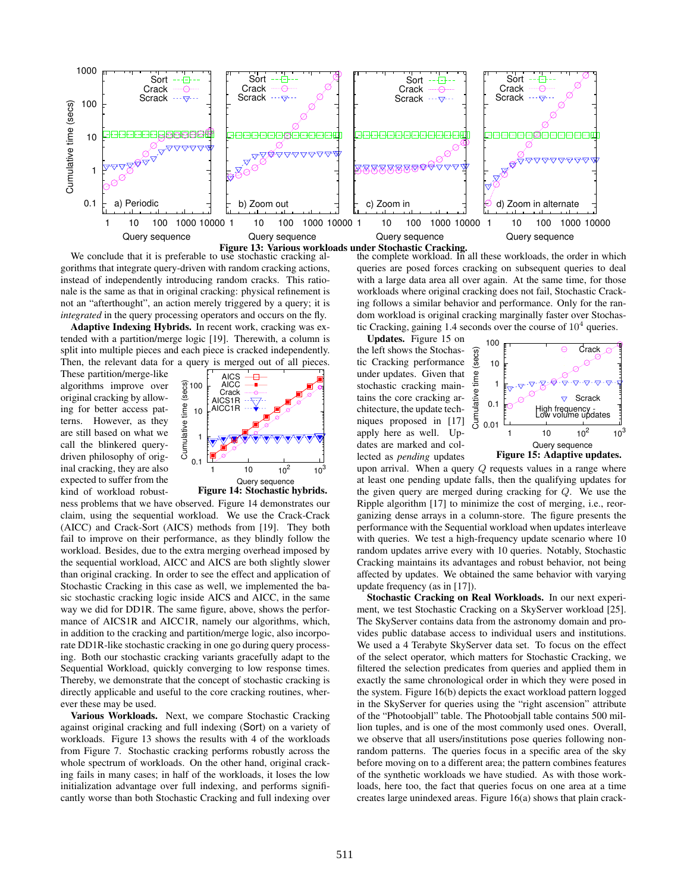

gorithms that integrate query-driven with random cracking actions, instead of independently introducing random cracks. This rationale is the same as that in original cracking: physical refinement is not an "afterthought", an action merely triggered by a query; it is *integrated* in the query processing operators and occurs on the fly.

Adaptive Indexing Hybrids. In recent work, cracking was extended with a partition/merge logic [19]. Therewith, a column is split into multiple pieces and each piece is cracked independently. Then, the relevant data for a query is merged out of all pieces.

These partition/merge-like algorithms improve over original cracking by allowing for better access patterns. However, as they are still based on what we call the blinkered querydriven philosophy of original cracking, they are also expected to suffer from the kind of workload robust-



ness problems that we have observed. Figure 14 demonstrates our claim, using the sequential workload. We use the Crack-Crack (AICC) and Crack-Sort (AICS) methods from [19]. They both fail to improve on their performance, as they blindly follow the workload. Besides, due to the extra merging overhead imposed by the sequential workload, AICC and AICS are both slightly slower than original cracking. In order to see the effect and application of Stochastic Cracking in this case as well, we implemented the basic stochastic cracking logic inside AICS and AICC, in the same way we did for DD1R. The same figure, above, shows the performance of AICS1R and AICC1R, namely our algorithms, which, in addition to the cracking and partition/merge logic, also incorporate DD1R-like stochastic cracking in one go during query processing. Both our stochastic cracking variants gracefully adapt to the Sequential Workload, quickly converging to low response times. Thereby, we demonstrate that the concept of stochastic cracking is directly applicable and useful to the core cracking routines, wherever these may be used.

Various Workloads. Next, we compare Stochastic Cracking against original cracking and full indexing (Sort) on a variety of workloads. Figure 13 shows the results with 4 of the workloads from Figure 7. Stochastic cracking performs robustly across the whole spectrum of workloads. On the other hand, original cracking fails in many cases; in half of the workloads, it loses the low initialization advantage over full indexing, and performs significantly worse than both Stochastic Cracking and full indexing over

queries are posed forces cracking on subsequent queries to deal with a large data area all over again. At the same time, for those workloads where original cracking does not fail, Stochastic Cracking follows a similar behavior and performance. Only for the random workload is original cracking marginally faster over Stochastic Cracking, gaining 1.4 seconds over the course of  $10<sup>4</sup>$  queries.

Updates. Figure 15 on the left shows the Stochastic Cracking performance under updates. Given that stochastic cracking maintains the core cracking architecture, the update techniques proposed in [17] apply here as well. Updates are marked and collected as *pending* updates



upon arrival. When a query *Q* requests values in a range where at least one pending update falls, then the qualifying updates for the given query are merged during cracking for *Q*. We use the Ripple algorithm [17] to minimize the cost of merging, i.e., reorganizing dense arrays in a column-store. The figure presents the performance with the Sequential workload when updates interleave with queries. We test a high-frequency update scenario where 10 random updates arrive every with 10 queries. Notably, Stochastic Cracking maintains its advantages and robust behavior, not being affected by updates. We obtained the same behavior with varying update frequency (as in [17]).

Stochastic Cracking on Real Workloads. In our next experiment, we test Stochastic Cracking on a SkyServer workload [25]. The SkyServer contains data from the astronomy domain and provides public database access to individual users and institutions. We used a 4 Terabyte SkyServer data set. To focus on the effect of the select operator, which matters for Stochastic Cracking, we filtered the selection predicates from queries and applied them in exactly the same chronological order in which they were posed in the system. Figure 16(b) depicts the exact workload pattern logged in the SkyServer for queries using the "right ascension" attribute of the "Photoobjall" table. The Photoobjall table contains 500 million tuples, and is one of the most commonly used ones. Overall, we observe that all users/institutions pose queries following nonrandom patterns. The queries focus in a specific area of the sky before moving on to a different area; the pattern combines features of the synthetic workloads we have studied. As with those workloads, here too, the fact that queries focus on one area at a time creates large unindexed areas. Figure 16(a) shows that plain crack-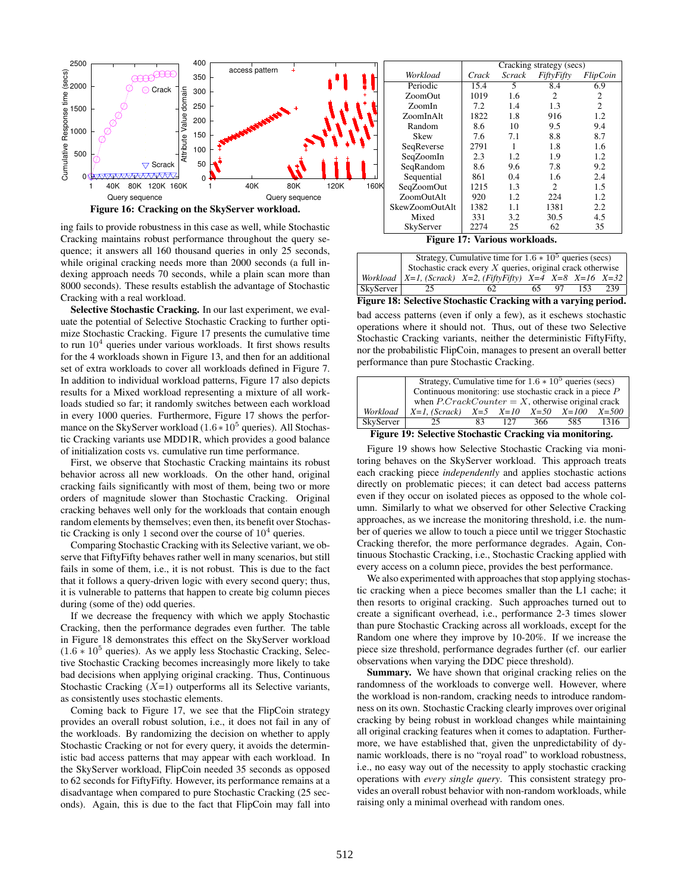

ing fails to provide robustness in this case as well, while Stochastic Cracking maintains robust performance throughout the query sequence; it answers all 160 thousand queries in only 25 seconds, while original cracking needs more than 2000 seconds (a full indexing approach needs 70 seconds, while a plain scan more than 8000 seconds). These results establish the advantage of Stochastic Cracking with a real workload.

Selective Stochastic Cracking. In our last experiment, we evaluate the potential of Selective Stochastic Cracking to further optimize Stochastic Cracking. Figure 17 presents the cumulative time to run  $10<sup>4</sup>$  queries under various workloads. It first shows results for the 4 workloads shown in Figure 13, and then for an additional set of extra workloads to cover all workloads defined in Figure 7. In addition to individual workload patterns, Figure 17 also depicts results for a Mixed workload representing a mixture of all workloads studied so far; it randomly switches between each workload in every 1000 queries. Furthermore, Figure 17 shows the performance on the SkyServer workload  $(1.6*10<sup>5</sup>$  queries). All Stochastic Cracking variants use MDD1R, which provides a good balance of initialization costs vs. cumulative run time performance.

First, we observe that Stochastic Cracking maintains its robust behavior across all new workloads. On the other hand, original cracking fails significantly with most of them, being two or more orders of magnitude slower than Stochastic Cracking. Original cracking behaves well only for the workloads that contain enough random elements by themselves; even then, its benefit over Stochastic Cracking is only 1 second over the course of  $10<sup>4</sup>$  queries.

Comparing Stochastic Cracking with its Selective variant, we observe that FiftyFifty behaves rather well in many scenarios, but still fails in some of them, i.e., it is not robust. This is due to the fact that it follows a query-driven logic with every second query; thus, it is vulnerable to patterns that happen to create big column pieces during (some of the) odd queries.

If we decrease the frequency with which we apply Stochastic Cracking, then the performance degrades even further. The table in Figure 18 demonstrates this effect on the SkyServer workload  $(1.6 * 10<sup>5</sup>$  queries). As we apply less Stochastic Cracking, Selective Stochastic Cracking becomes increasingly more likely to take bad decisions when applying original cracking. Thus, Continuous Stochastic Cracking  $(X=1)$  outperforms all its Selective variants, as consistently uses stochastic elements.

Coming back to Figure 17, we see that the FlipCoin strategy provides an overall robust solution, i.e., it does not fail in any of the workloads. By randomizing the decision on whether to apply Stochastic Cracking or not for every query, it avoids the deterministic bad access patterns that may appear with each workload. In the SkyServer workload, FlipCoin needed 35 seconds as opposed to 62 seconds for FiftyFifty. However, its performance remains at a disadvantage when compared to pure Stochastic Cracking (25 seconds). Again, this is due to the fact that FlipCoin may fall into

|    |                               | Cracking strategy (secs) |        |            |          |  |  |  |  |
|----|-------------------------------|--------------------------|--------|------------|----------|--|--|--|--|
|    | Workload                      | Crack                    | Scrack | FiftyFifty | FlipCoin |  |  |  |  |
|    | Periodic                      | 15.4                     | 5      | 8.4        | 6.9      |  |  |  |  |
|    | ZoomOut                       | 1019                     | 1.6    | 2          | 2        |  |  |  |  |
|    | ZoomIn                        | 7.2                      | 1.4    | 1.3        | 2        |  |  |  |  |
|    | ZoomInAlt                     | 1822                     | 1.8    | 916        | 1.2      |  |  |  |  |
|    | Random                        | 8.6                      | 10     | 9.5        | 9.4      |  |  |  |  |
|    | Skew                          | 7.6                      | 7.1    | 8.8        | 8.7      |  |  |  |  |
|    | SeqReverse                    | 2791                     | 1      | 1.8        | 1.6      |  |  |  |  |
|    | SeqZoomIn                     | 2.3                      | 1.2    | 1.9        | 1.2      |  |  |  |  |
|    | SeqRandom                     | 8.6                      | 9.6    | 7.8        | 9.2      |  |  |  |  |
|    | Sequential                    | 861                      | 0.4    | 1.6        | 2.4      |  |  |  |  |
| 0Κ | SeqZoomOut                    | 1215                     | 1.3    | 2          | 1.5      |  |  |  |  |
|    | <b>ZoomOutAlt</b>             | 920                      | 1.2    | 224        | 1.2      |  |  |  |  |
|    | SkewZoomOutAlt                | 1382                     | 1.1    | 1381       | 2.2      |  |  |  |  |
|    | Mixed                         | 331                      | 3.2    | 30.5       | 4.5      |  |  |  |  |
|    | SkyServer                     | 2274                     | 25     | 62         | 35       |  |  |  |  |
|    | Figure 17: Various workloads. |                          |        |            |          |  |  |  |  |

|           | Strategy, Cumulative time for $1.6 * 10^5$ queries (secs)    |                                                                          |    |    |     |     |  |  |
|-----------|--------------------------------------------------------------|--------------------------------------------------------------------------|----|----|-----|-----|--|--|
|           | Stochastic crack every $X$ queries, original crack otherwise |                                                                          |    |    |     |     |  |  |
|           |                                                              | Workload   X=1, (Scrack) $X=2$ , (Fifty Fifty) $X=4$ $X=8$ $X=16$ $X=32$ |    |    |     |     |  |  |
| SkyServer |                                                              | 62                                                                       | 65 | 97 | 153 | 239 |  |  |

Figure 18: Selective Stochastic Cracking with a varying period. bad access patterns (even if only a few), as it eschews stochastic operations where it should not. Thus, out of these two Selective Stochastic Cracking variants, neither the deterministic FiftyFifty, nor the probabilistic FlipCoin, manages to present an overall better

performance than pure Stochastic Cracking.

|           | Strategy, Cumulative time for $1.6 * 10^5$ queries (secs)  |     |     |     |      |      |  |  |
|-----------|------------------------------------------------------------|-----|-----|-----|------|------|--|--|
|           | Continuous monitoring: use stochastic crack in a piece $P$ |     |     |     |      |      |  |  |
|           | when $P.CrackCounter = X$ , otherwise original crack       |     |     |     |      |      |  |  |
| Workload  | $X=1$ , (Scrack) $X=5$ $X=10$ $X=50$ $X=100$ $X=500$       |     |     |     |      |      |  |  |
| SkyServer | 25.                                                        | 83. | 127 | 366 | 585. | 1316 |  |  |

### Figure 19: Selective Stochastic Cracking via monitoring.

Figure 19 shows how Selective Stochastic Cracking via monitoring behaves on the SkyServer workload. This approach treats each cracking piece *independently* and applies stochastic actions directly on problematic pieces; it can detect bad access patterns even if they occur on isolated pieces as opposed to the whole column. Similarly to what we observed for other Selective Cracking approaches, as we increase the monitoring threshold, i.e. the number of queries we allow to touch a piece until we trigger Stochastic Cracking therefor, the more performance degrades. Again, Continuous Stochastic Cracking, i.e., Stochastic Cracking applied with every access on a column piece, provides the best performance.

We also experimented with approaches that stop applying stochastic cracking when a piece becomes smaller than the L1 cache; it then resorts to original cracking. Such approaches turned out to create a significant overhead, i.e., performance 2-3 times slower than pure Stochastic Cracking across all workloads, except for the Random one where they improve by 10-20%. If we increase the piece size threshold, performance degrades further (cf. our earlier observations when varying the DDC piece threshold).

Summary. We have shown that original cracking relies on the randomness of the workloads to converge well. However, where the workload is non-random, cracking needs to introduce randomness on its own. Stochastic Cracking clearly improves over original cracking by being robust in workload changes while maintaining all original cracking features when it comes to adaptation. Furthermore, we have established that, given the unpredictability of dynamic workloads, there is no "royal road" to workload robustness, i.e., no easy way out of the necessity to apply stochastic cracking operations with *every single query*. This consistent strategy provides an overall robust behavior with non-random workloads, while raising only a minimal overhead with random ones.